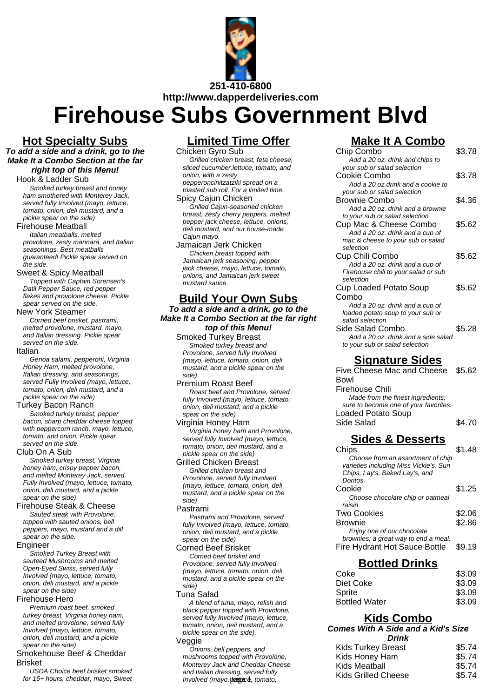

# **Firehouse Subs Government Blvd**

### **Hot Specialty Subs**

**To add a side and a drink, go to the Make It a Combo Section at the far right top of this Menu!**

Hook & Ladder Sub

Smoked turkey breast and honey ham smothered with Monterey Jack, served fully Involved (mayo, lettuce, tomato, onion, deli mustard, and a pickle spear on the side)

#### Firehouse Meatball

Italian meatballs, melted provolone, zesty marinara, and Italian seasonings. Best meatballs guaranteed! Pickle spear served on the side.

### Sweet & Spicy Meatball

Topped with Captain Sorensen's Datil Pepper Sauce, red pepper flakes and provolone cheese. Pickle spear served on the side.

#### New York Steamer

Corned beef brisket, pastrami, melted provolone, mustard, mayo, and Italian dressing. Pickle spear served on the side.

### Italian

Genoa salami, pepperoni, Virginia Honey Ham, melted provolone, Italian dressing, and seasonings, served Fully Involved (mayo, lettuce, tomato, onion, deli mustard, and a pickle spear on the side)

### Turkey Bacon Ranch

Smoked turkey breast, pepper bacon, sharp cheddar cheese topped with peppercorn ranch, mayo, lettuce, tomato, and onion. Pickle spear served on the side.

### Club On A Sub

Smoked turkey breast, Virginia honey ham, crispy pepper bacon, and melted Monterey Jack, served Fully Involved (mayo, lettuce, tomato, onion, deli mustard, and a pickle spear on the side)

### Firehouse Steak & Cheese

Sauted steak with Provolone, topped with sauted onions, bell peppers, mayo, mustard and a dill spear on the side.

#### Engineer

Smoked Turkey Breast with sauteed Mushrooms and melted Open-Eyed Swiss, served fully Involved (mayo, lettuce, tomato, onion, deli mustard, and a pickle spear on the side)

### Firehouse Hero

Premium roast beef, smoked turkey breast. Virginia honey ham, and melted provolone, served fully Involved (mayo, lettuce, tomato, onion, deli mustard, and a pickle spear on the side)

### Smokehouse Beef & Cheddar Brisket

USDA Choice beef brisket smoked for 16+ hours, cheddar, mayo, Sweet

### **Limited Time Offer**

Chicken Gyro Sub

Grilled chicken breast, feta cheese, sliced cucumber,lettuce, tomato, and onion, with a zesty pepperoncinitzatziki spread on a

#### toasted sub roll. For a limited time. Spicy Cajun Chicken

Grilled Cajun-seasoned chicken breast, zesty cherry peppers, melted pepper jack cheese, lettuce, onions, deli mustard, and our house-made Cajun mayo.

Jamaican Jerk Chicken Chicken breast topped with Jamaican jerk seasoning, pepper jack cheese, mayo, lettuce, tomato, onions, and Jamaican jerk sweet mustard sauce

### **Build Your Own Subs**

**To add a side and a drink, go to the Make It a Combo Section at the far right top of this Menu!**

Smoked Turkey Breast Smoked turkey breast and Provolone, served fully Involved (mayo, lettuce, tomato, onion, deli mustard, and a pickle spear on the side)

### Premium Roast Beef

Roast beef and Provolone, served fully Involved (mayo, lettuce, tomato, onion, deli mustard, and a pickle spear on the side)

#### Virginia Honey Ham

Virginia honey ham and Provolone, served fully Involved (mayo, lettuce, tomato, onion, deli mustard, and a pickle spear on the side)

#### Grilled Chicken Breast

Grilled chicken breast and Provolone, served fully Involved (mayo, lettuce, tomato, onion, deli mustard, and a pickle spear on the side)

### Pastrami

Pastrami and Provolone, served fully Involved (mayo, lettuce, tomato, onion, deli mustard, and a pickle spear on the side)

### Corned Beef Brisket

Corned beef brisket and Provolone, served fully Involved (mayo, lettuce, tomato, onion, deli mustard, and a pickle spear on the side)

#### Tuna Salad

A blend of tuna, mayo, relish and black pepper topped with Provolone, served fully Involved (mayo, lettuce, tomato, onion, deli mustard, and a pickle spear on the side).

#### Veggie

### **Make It A Combo**

| <b>Make It A Combo</b>                 |        |
|----------------------------------------|--------|
| Chip Combo                             | \$3.78 |
| Add a 20 oz. drink and chips to        |        |
| your sub or salad selection            |        |
| Cookie Combo                           | \$3.78 |
| Add a 20 oz.drink and a cookie to      |        |
| your sub or salad selection            |        |
| <b>Brownie Combo</b>                   | \$4.36 |
| Add a 20 oz. drink and a brownie       |        |
| to your sub or salad selection         |        |
| Cup Mac & Cheese Combo                 | \$5.62 |
| Add a 20 oz. drink and a cup of        |        |
| mac & cheese to your sub or salad      |        |
| selection                              |        |
| Cup Chili Combo                        | \$5.62 |
| Add a 20 oz. drink and a cup of        |        |
| Firehouse chili to your salad or sub   |        |
| selection                              |        |
| <b>Cup Loaded Potato Soup</b>          | \$5.62 |
| Combo                                  |        |
| Add a 20 oz. drink and a cup of        |        |
| loaded potato soup to your sub or      |        |
| salad selection                        |        |
| Side Salad Combo                       | \$5.28 |
| Add a 20 oz. drink and a side salad    |        |
| to your sub or salad selection         |        |
| <u>Signature Sides</u>                 |        |
| Five Cheese Mac and Cheese             | \$5.62 |
| Bowl                                   |        |
| <b>Firehouse Chili</b>                 |        |
| Made from the finest ingredients;      |        |
| sure to become one of your favorites.  |        |
| <b>Loaded Potato Soup</b>              |        |
| Side Salad                             | \$4.70 |
|                                        |        |
| <b>Sides &amp; Desserts</b>            |        |
| Chips                                  | \$1.48 |
| Choose from an assortment of chip      |        |
| varieties including Miss Vickie's, Sun |        |
| Chips, Lay's, Baked Lay's, and         |        |
| Doritos.                               |        |
| Cookie                                 | \$1.25 |
| Choose chocolate chip or oatmeal       |        |
| raisin.                                |        |

| <b>Two Cookies</b>                   | \$2.06 |
|--------------------------------------|--------|
| <b>Brownie</b>                       | \$2.86 |
| Enjoy one of our chocolate           |        |
| brownies; a great way to end a meal. |        |
| Fire Hydrant Hot Sauce Bottle \$9.19 |        |

### **Bottled Drinks**

| Coke                 | \$3.09 |
|----------------------|--------|
| Diet Coke            | \$3.09 |
| Sprite               | \$3.09 |
| <b>Bottled Water</b> | \$3.09 |
|                      |        |

## **Kids Combo**

**Comes With A Side and a Kid's Size Drink**

| ЫШК                                                          |                                      |
|--------------------------------------------------------------|--------------------------------------|
| <b>Kids Turkey Breast</b><br>Kids Honey Ham<br>Kids Meatball | \$5.74<br>\$5.74<br>\$5.74<br>\$5.74 |
|                                                              |                                      |
|                                                              | <b>Kids Grilled Cheese</b>           |